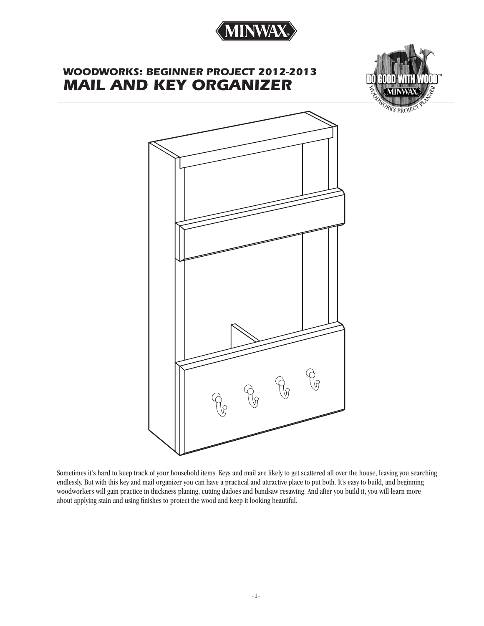

# *WOODWORKS: BEGINNER PROJECT 2012-2013 MAIL AND KEY ORGANIZER*



ORKS PROJE



Sometimes it's hard to keep track of your household items. Keys and mail are likely to get scattered all over the house, leaving you searching endlessly. But with this key and mail organizer you can have a practical and attractive place to put both. It's easy to build, and beginning woodworkers will gain practice in thickness planing, cutting dadoes and bandsaw resawing. And after you build it, you will learn more about applying stain and using finishes to protect the wood and keep it looking beautiful.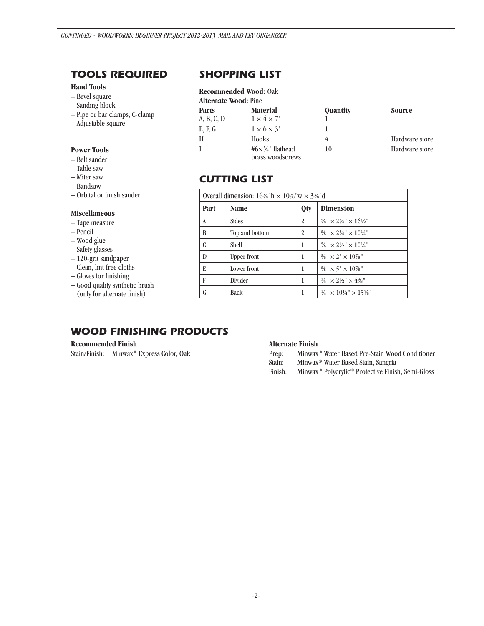## *TOOLS REQUIRED*

### **Hand Tools**

- Bevel square
- Sanding block
- Pipe or bar clamps, C-clamp
- Adjustable square

#### **Power Tools**

- Belt sander
- Table saw
- Miter saw
- Bandsaw
- Orbital or finish sander

#### **Miscellaneous**

- Tape measure
- Pencil
- Wood glue
- Safety glasses
- 120-grit sandpaper
- Clean, lint-free cloths
- Gloves for finishing
- Good quality synthetic brush (only for alternate finish)

## *SHOPPING LIST*

#### **Recommended Wood:** Oak

| <b>Alternate Wood: Pine</b> |                                                          |                 |                |  |
|-----------------------------|----------------------------------------------------------|-----------------|----------------|--|
| <b>Parts</b>                | <b>Material</b>                                          | <b>Quantity</b> | Source         |  |
| A, B, C, D                  | $1 \times 4 \times 7'$                                   |                 |                |  |
| E, F, G                     | $1 \times 6 \times 3'$                                   |                 |                |  |
| H                           | Hooks                                                    |                 | Hardware store |  |
| L                           | #6 $\times$ <sup>5</sup> %" flathead<br>brass woodscrews | 10              | Hardware store |  |

## *CUTTING LIST*

| Overall dimension: $16\%$ "h $\times$ 10%"w $\times$ 3%"d |                |                |                                                                                       |  |  |
|-----------------------------------------------------------|----------------|----------------|---------------------------------------------------------------------------------------|--|--|
| Part                                                      | <b>Name</b>    | <b>Qty</b>     | <b>Dimension</b>                                                                      |  |  |
| A                                                         | Sides          | 2              | $\frac{5}{8}$ " × 2 <sup>3</sup> / <sub>4</sub> " × 16 <sup>1</sup> / <sub>2</sub> "  |  |  |
| B                                                         | Top and bottom | $\overline{c}$ | $\frac{5}{8}$ " × 2 <sup>3</sup> / <sub>4</sub> " × 10 <sup>1</sup> / <sub>4</sub> "  |  |  |
| C                                                         | Shelf          |                | $\frac{5}{8}$ " × 2½" × 10¼"                                                          |  |  |
| D                                                         | Upper front    |                | $\frac{5}{8}$ " × 2" × 10%"                                                           |  |  |
| E                                                         | Lower front    |                | $\frac{5}{8}$ " × 5" × 10%"                                                           |  |  |
| F                                                         | Divider        |                | $\frac{1}{4}$ " × 2 $\frac{1}{2}$ " × 4 $\frac{3}{8}$ "                               |  |  |
| G                                                         | Back           |                | $\frac{1}{4}$ " × 10 <sup>1</sup> / <sub>4</sub> " × 15 <sup>7</sup> / <sub>8</sub> " |  |  |

## *WOOD FINISHING PRODUCTS*

#### **Recommended Finish**

Stain/Finish: Minwax® Express Color, Oak

#### **Alternate Finish**

- Prep: Minwax® Water Based Pre-Stain Wood Conditioner
- Stain: Minwax® Water Based Stain, Sangria
- Finish: Minwax® Polycrylic® Protective Finish, Semi-Gloss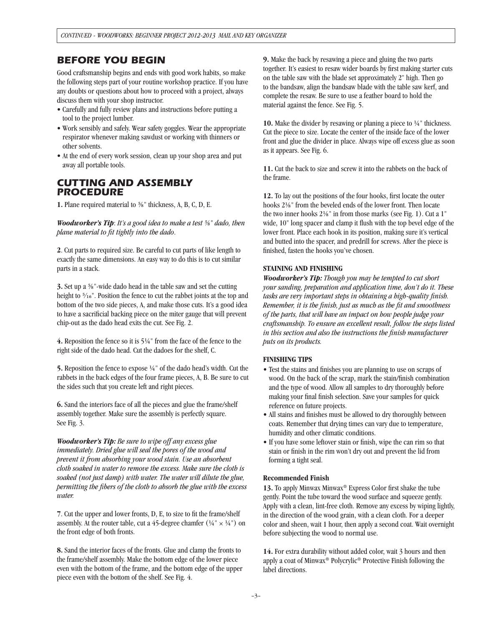### *BEFORE YOU BEGIN*

Good craftsmanship begins and ends with good work habits, so make the following steps part of your routine workshop practice. If you have any doubts or questions about how to proceed with a project, always discuss them with your shop instructor.

- Carefully and fully review plans and instructions before putting a tool to the project lumber.
- Work sensibly and safely. Wear safety goggles. Wear the appropriate respirator whenever making sawdust or working with thinners or other solvents.
- At the end of every work session, clean up your shop area and put away all portable tools.

## *CUTTING AND ASSEMBLY PROCEDURE*

**1.** Plane required material to <sup>5</sup>%" thickness, A, B, C, D, E.

*Woodworker's Tip*: *It's a good idea to make a test 5/8" dado, then plane material to fit tightly into the dado*.

**2**. Cut parts to required size. Be careful to cut parts of like length to exactly the same dimensions. An easy way to do this is to cut similar parts in a stack.

**3.** Set up a 5/8"-wide dado head in the table saw and set the cutting height to 5/16". Position the fence to cut the rabbet joints at the top and bottom of the two side pieces, A, and make those cuts. It's a good idea to have a sacrificial backing piece on the miter gauge that will prevent chip-out as the dado head exits the cut. See Fig. 2.

**4.** Reposition the fence so it is 51/4" from the face of the fence to the right side of the dado head. Cut the dadoes for the shelf, C.

**5.** Reposition the fence to expose 1/4" of the dado head's width. Cut the rabbets in the back edges of the four frame pieces, A, B. Be sure to cut the sides such that you create left and right pieces.

**6.** Sand the interiors face of all the pieces and glue the frame/shelf assembly together. Make sure the assembly is perfectly square. See Fig. 3.

*Woodworker's Tip: Be sure to wipe off any excess glue immediately. Dried glue will seal the pores of the wood and prevent it from absorbing your wood stain. Use an absorbent cloth soaked in water to remove the excess. Make sure the cloth is soaked (not just damp) with water. The water will dilute the glue, permitting the fibers of the cloth to absorb the glue with the excess water.* 

**7**. Cut the upper and lower fronts, D, E, to size to fit the frame/shelf assembly. At the router table, cut a 45-degree chamfer  $(1/4" \times 1/4")$  on the front edge of both fronts.

**8.** Sand the interior faces of the fronts. Glue and clamp the fronts to the frame/shelf assembly. Make the bottom edge of the lower piece even with the bottom of the frame, and the bottom edge of the upper piece even with the bottom of the shelf. See Fig. 4.

**9.** Make the back by resawing a piece and gluing the two parts together. It's easiest to resaw wider boards by first making starter cuts on the table saw with the blade set approximately 2" high. Then go to the bandsaw, align the bandsaw blade with the table saw kerf, and complete the resaw. Be sure to use a feather board to hold the material against the fence. See Fig. 5.

**10.** Make the divider by resawing or planing a piece to  $\frac{1}{4}$ " thickness. Cut the piece to size. Locate the center of the inside face of the lower front and glue the divider in place. Always wipe off excess glue as soon as it appears. See Fig. 6.

**11.** Cut the back to size and screw it into the rabbets on the back of the frame.

**12.** To lay out the positions of the four hooks, first locate the outer hooks 21/8" from the beveled ends of the lower front. Then locate the two inner hooks  $2\frac{1}{8}$ " in from those marks (see Fig. 1). Cut a 1" wide, 10" long spacer and clamp it flush with the top bevel edge of the lower front. Place each hook in its position, making sure it's vertical and butted into the spacer, and predrill for screws. After the piece is finished, fasten the hooks you've chosen.

#### **STAINING AND FINISHING**

*Woodworker's Tip: Though you may be tempted to cut short your sanding, preparation and application time, don't do it. These tasks are very important steps in obtaining a high-quality finish. Remember, it is the finish, just as much as the fit and smoothness of the parts, that will have an impact on how people judge your craftsmanship. To ensure an excellent result, follow the steps listed in this section and also the instructions the finish manufacturer puts on its products.*

#### **FINISHING TIPS**

- Test the stains and finishes you are planning to use on scraps of wood. On the back of the scrap, mark the stain/finish combination and the type of wood. Allow all samples to dry thoroughly before making your final finish selection. Save your samples for quick reference on future projects.
- All stains and finishes must be allowed to dry thoroughly between coats. Remember that drying times can vary due to temperature, humidity and other climatic conditions.
- If you have some leftover stain or finish, wipe the can rim so that stain or finish in the rim won't dry out and prevent the lid from forming a tight seal.

#### **Recommended Finish**

**13.** To apply Minwax Minwax® Express Color first shake the tube gently. Point the tube toward the wood surface and squeeze gently. Apply with a clean, lint-free cloth. Remove any excess by wiping lightly, in the direction of the wood grain, with a clean cloth. For a deeper color and sheen, wait 1 hour, then apply a second coat. Wait overnight before subjecting the wood to normal use.

**14.** For extra durability without added color, wait 3 hours and then apply a coat of Minwax® Polycrylic® Protective Finish following the label directions.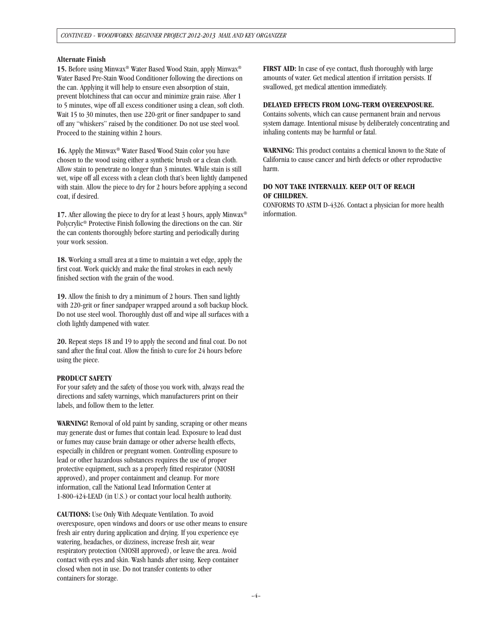#### **Alternate Finish**

**15.** Before using Minwax® Water Based Wood Stain, apply Minwax® Water Based Pre-Stain Wood Conditioner following the directions on the can. Applying it will help to ensure even absorption of stain, prevent blotchiness that can occur and minimize grain raise. After 1 to 5 minutes, wipe off all excess conditioner using a clean, soft cloth. Wait 15 to 30 minutes, then use 220-grit or finer sandpaper to sand off any "whiskers" raised by the conditioner. Do not use steel wool. Proceed to the staining within 2 hours.

**16.** Apply the Minwax® Water Based Wood Stain color you have chosen to the wood using either a synthetic brush or a clean cloth. Allow stain to penetrate no longer than 3 minutes. While stain is still wet, wipe off all excess with a clean cloth that's been lightly dampened with stain. Allow the piece to dry for 2 hours before applying a second coat, if desired.

**17.** After allowing the piece to dry for at least 3 hours, apply Minwax<sup>®</sup> Polycrylic® Protective Finish following the directions on the can. Stir the can contents thoroughly before starting and periodically during your work session.

**18.** Working a small area at a time to maintain a wet edge, apply the first coat. Work quickly and make the final strokes in each newly finished section with the grain of the wood.

**19.** Allow the finish to dry a minimum of 2 hours. Then sand lightly with 220-grit or finer sandpaper wrapped around a soft backup block. Do not use steel wool. Thoroughly dust off and wipe all surfaces with a cloth lightly dampened with water.

**20.** Repeat steps 18 and 19 to apply the second and final coat. Do not sand after the final coat. Allow the finish to cure for 24 hours before using the piece.

#### **PRODUCT SAFETY**

For your safety and the safety of those you work with, always read the directions and safety warnings, which manufacturers print on their labels, and follow them to the letter.

**WARNING!** Removal of old paint by sanding, scraping or other means may generate dust or fumes that contain lead. Exposure to lead dust or fumes may cause brain damage or other adverse health effects, especially in children or pregnant women. Controlling exposure to lead or other hazardous substances requires the use of proper protective equipment, such as a properly fitted respirator (NIOSH approved), and proper containment and cleanup. For more information, call the National Lead Information Center at 1-800-424-LEAD (in U.S.) or contact your local health authority.

**CAUTIONS:** Use Only With Adequate Ventilation. To avoid overexposure, open windows and doors or use other means to ensure fresh air entry during application and drying. If you experience eye watering, headaches, or dizziness, increase fresh air, wear respiratory protection (NIOSH approved), or leave the area. Avoid contact with eyes and skin. Wash hands after using. Keep container closed when not in use. Do not transfer contents to other containers for storage.

**FIRST AID:** In case of eye contact, flush thoroughly with large amounts of water. Get medical attention if irritation persists. If swallowed, get medical attention immediately.

#### **DELAYED EFFECTS FROM LONG-TERM OVEREXPOSURE.**

Contains solvents, which can cause permanent brain and nervous system damage. Intentional misuse by deliberately concentrating and inhaling contents may be harmful or fatal.

**WARNING:** This product contains a chemical known to the State of California to cause cancer and birth defects or other reproductive harm.

#### **DO NOT TAKE INTERNALLY. KEEP OUT OF REACH OF CHILDREN.**

CONFORMS TO ASTM D-4326. Contact a physician for more health information.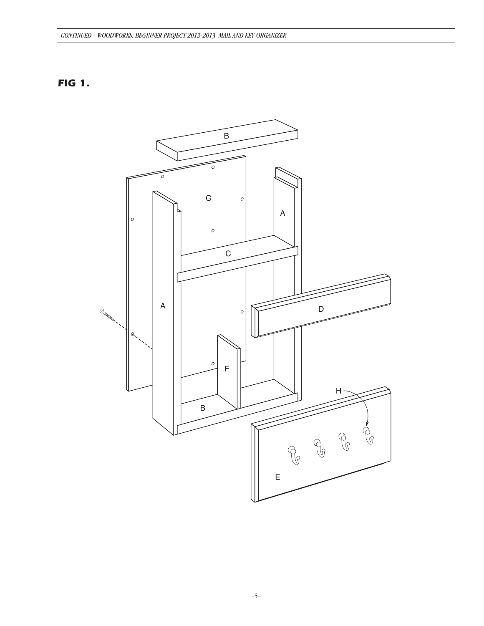### CONTINUED - WOODWORKS: BEGINNER PROJECT 2012-2013 MAIL AND KEY ORGANIZER

# **FIG 1.**

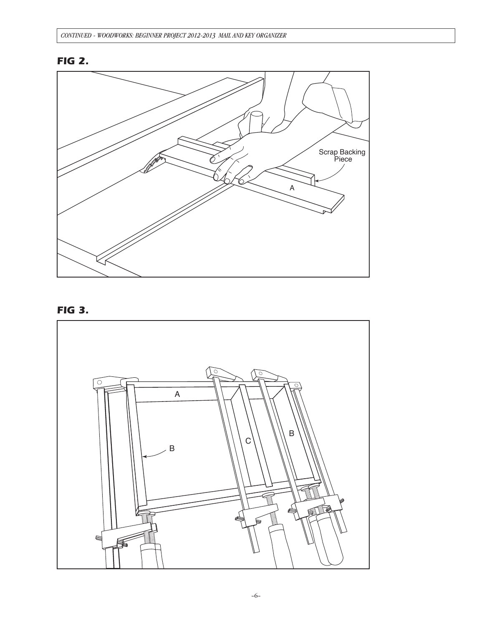# *FIG 2.*



# *FIG 3.*

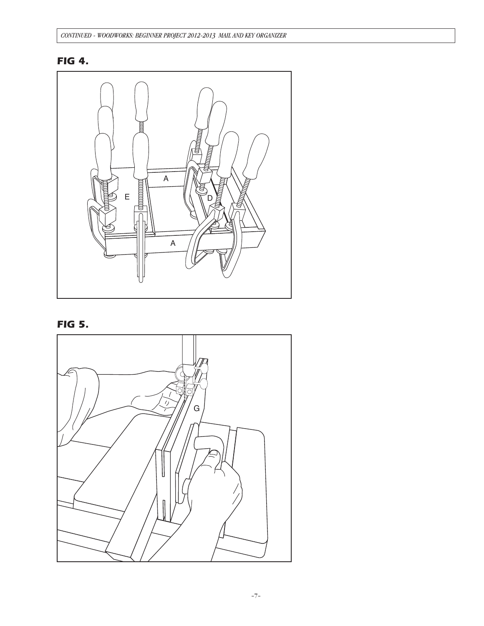